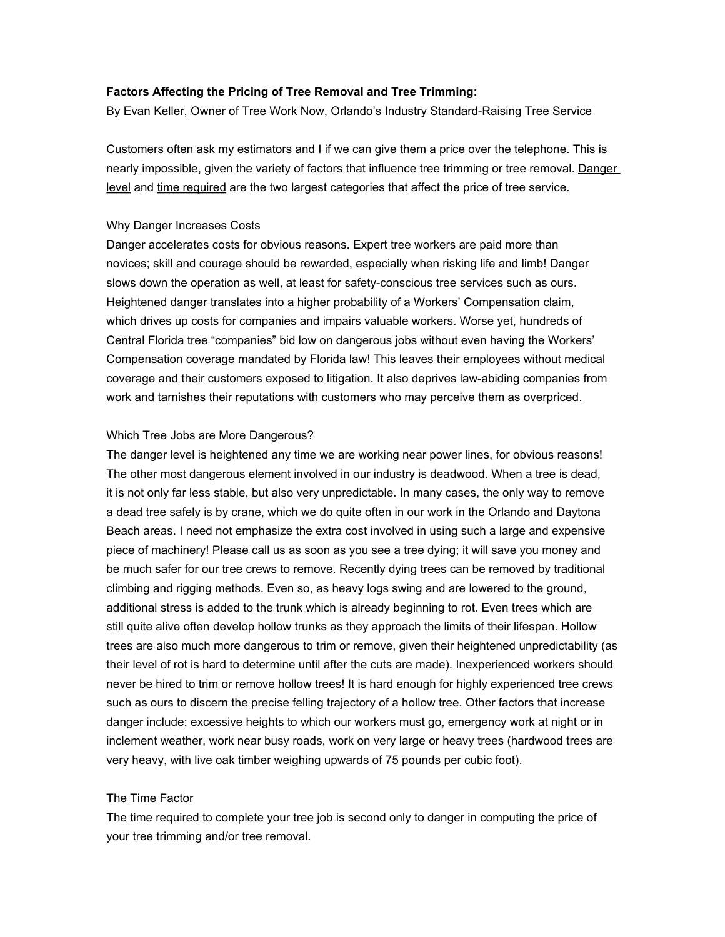# **Factors Affecting the Pricing of Tree Removal and Tree Trimming:**

By Evan Keller, Owner of Tree Work Now, Orlando's Industry Standard-Raising Tree Service

Customers often ask my estimators and I if we can give them a price over the telephone. This is nearly impossible, given the variety of factors that influence tree trimming or tree removal. Danger level and time required are the two largest categories that affect the price of tree service.

### Why Danger Increases Costs

Danger accelerates costs for obvious reasons. Expert tree workers are paid more than novices; skill and courage should be rewarded, especially when risking life and limb! Danger slows down the operation as well, at least for safety-conscious tree services such as ours. Heightened danger translates into a higher probability of a Workers' Compensation claim, which drives up costs for companies and impairs valuable workers. Worse yet, hundreds of Central Florida tree "companies" bid low on dangerous jobs without even having the Workers' Compensation coverage mandated by Florida law! This leaves their employees without medical coverage and their customers exposed to litigation. It also deprives law-abiding companies from work and tarnishes their reputations with customers who may perceive them as overpriced.

### Which Tree Jobs are More Dangerous?

The danger level is heightened any time we are working near power lines, for obvious reasons! The other most dangerous element involved in our industry is deadwood. When a tree is dead, it is not only far less stable, but also very unpredictable. In many cases, the only way to remove a dead tree safely is by crane, which we do quite often in our work in the Orlando and Daytona Beach areas. I need not emphasize the extra cost involved in using such a large and expensive piece of machinery! Please call us as soon as you see a tree dying; it will save you money and be much safer for our tree crews to remove. Recently dying trees can be removed by traditional climbing and rigging methods. Even so, as heavy logs swing and are lowered to the ground, additional stress is added to the trunk which is already beginning to rot. Even trees which are still quite alive often develop hollow trunks as they approach the limits of their lifespan. Hollow trees are also much more dangerous to trim or remove, given their heightened unpredictability (as their level of rot is hard to determine until after the cuts are made). Inexperienced workers should never be hired to trim or remove hollow trees! It is hard enough for highly experienced tree crews such as ours to discern the precise felling trajectory of a hollow tree. Other factors that increase danger include: excessive heights to which our workers must go, emergency work at night or in inclement weather, work near busy roads, work on very large or heavy trees (hardwood trees are very heavy, with live oak timber weighing upwards of 75 pounds per cubic foot).

#### The Time Factor

The time required to complete your tree job is second only to danger in computing the price of your tree trimming and/or tree removal.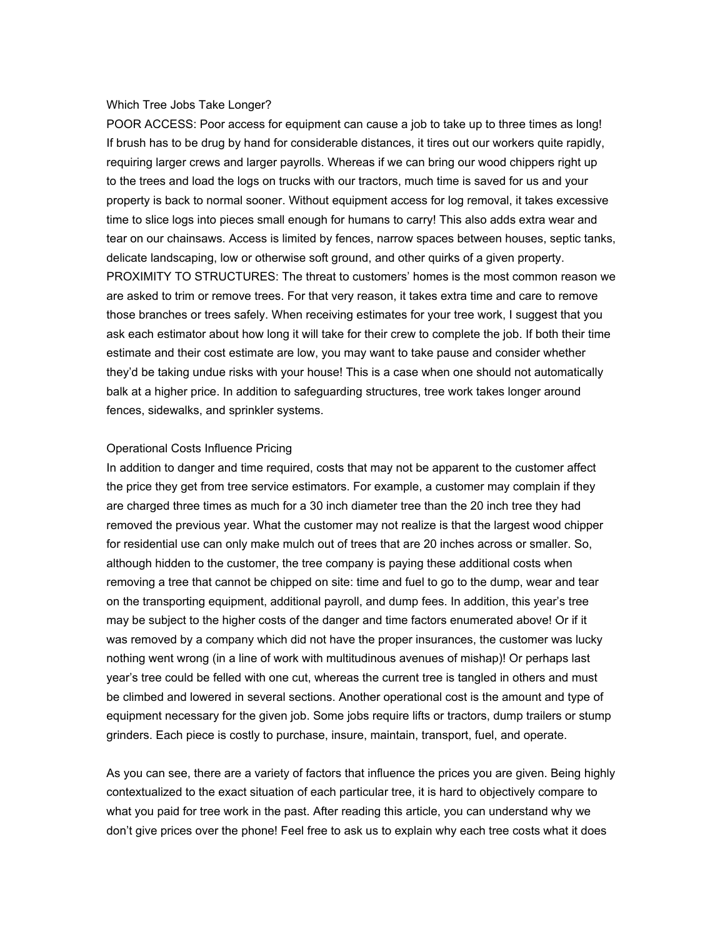#### Which Tree Jobs Take Longer?

POOR ACCESS: Poor access for equipment can cause a job to take up to three times as long! If brush has to be drug by hand for considerable distances, it tires out our workers quite rapidly, requiring larger crews and larger payrolls. Whereas if we can bring our wood chippers right up to the trees and load the logs on trucks with our tractors, much time is saved for us and your property is back to normal sooner. Without equipment access for log removal, it takes excessive time to slice logs into pieces small enough for humans to carry! This also adds extra wear and tear on our chainsaws. Access is limited by fences, narrow spaces between houses, septic tanks, delicate landscaping, low or otherwise soft ground, and other quirks of a given property. PROXIMITY TO STRUCTURES: The threat to customers' homes is the most common reason we are asked to trim or remove trees. For that very reason, it takes extra time and care to remove those branches or trees safely. When receiving estimates for your tree work, I suggest that you ask each estimator about how long it will take for their crew to complete the job. If both their time estimate and their cost estimate are low, you may want to take pause and consider whether they'd be taking undue risks with your house! This is a case when one should not automatically balk at a higher price. In addition to safeguarding structures, tree work takes longer around fences, sidewalks, and sprinkler systems.

## Operational Costs Influence Pricing

In addition to danger and time required, costs that may not be apparent to the customer affect the price they get from tree service estimators. For example, a customer may complain if they are charged three times as much for a 30 inch diameter tree than the 20 inch tree they had removed the previous year. What the customer may not realize is that the largest wood chipper for residential use can only make mulch out of trees that are 20 inches across or smaller. So, although hidden to the customer, the tree company is paying these additional costs when removing a tree that cannot be chipped on site: time and fuel to go to the dump, wear and tear on the transporting equipment, additional payroll, and dump fees. In addition, this year's tree may be subject to the higher costs of the danger and time factors enumerated above! Or if it was removed by a company which did not have the proper insurances, the customer was lucky nothing went wrong (in a line of work with multitudinous avenues of mishap)! Or perhaps last year's tree could be felled with one cut, whereas the current tree is tangled in others and must be climbed and lowered in several sections. Another operational cost is the amount and type of equipment necessary for the given job. Some jobs require lifts or tractors, dump trailers or stump grinders. Each piece is costly to purchase, insure, maintain, transport, fuel, and operate.

As you can see, there are a variety of factors that influence the prices you are given. Being highly contextualized to the exact situation of each particular tree, it is hard to objectively compare to what you paid for tree work in the past. After reading this article, you can understand why we don't give prices over the phone! Feel free to ask us to explain why each tree costs what it does